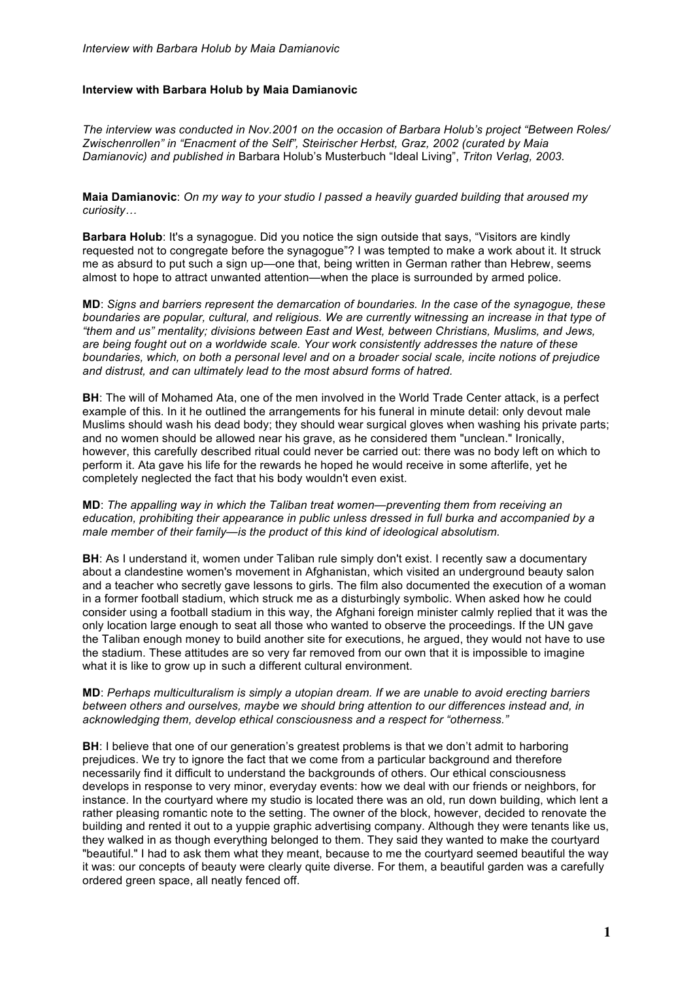# **Interview with Barbara Holub by Maia Damianovic**

*The interview was conducted in Nov.2001 on the occasion of Barbara Holub's project "Between Roles/ Zwischenrollen" in "Enacment of the Self", Steirischer Herbst, Graz, 2002 (curated by Maia Damianovic) and published in* Barbara Holub's Musterbuch "Ideal Living", *Triton Verlag, 2003.*

**Maia Damianovic**: *On my way to your studio I passed a heavily guarded building that aroused my curiosity…*

**Barbara Holub**: It's a synagogue. Did you notice the sign outside that says, "Visitors are kindly requested not to congregate before the synagogue"? I was tempted to make a work about it. It struck me as absurd to put such a sign up—one that, being written in German rather than Hebrew, seems almost to hope to attract unwanted attention—when the place is surrounded by armed police.

**MD**: *Signs and barriers represent the demarcation of boundaries. In the case of the synagogue, these boundaries are popular, cultural, and religious. We are currently witnessing an increase in that type of "them and us" mentality; divisions between East and West, between Christians, Muslims, and Jews, are being fought out on a worldwide scale. Your work consistently addresses the nature of these boundaries, which, on both a personal level and on a broader social scale, incite notions of prejudice and distrust, and can ultimately lead to the most absurd forms of hatred.*

**BH**: The will of Mohamed Ata, one of the men involved in the World Trade Center attack, is a perfect example of this. In it he outlined the arrangements for his funeral in minute detail: only devout male Muslims should wash his dead body; they should wear surgical gloves when washing his private parts; and no women should be allowed near his grave, as he considered them "unclean." Ironically, however, this carefully described ritual could never be carried out: there was no body left on which to perform it. Ata gave his life for the rewards he hoped he would receive in some afterlife, yet he completely neglected the fact that his body wouldn't even exist.

**MD**: *The appalling way in which the Taliban treat women—preventing them from receiving an education, prohibiting their appearance in public unless dressed in full burka and accompanied by a male member of their family—is the product of this kind of ideological absolutism.*

**BH:** As I understand it, women under Taliban rule simply don't exist. I recently saw a documentary about a clandestine women's movement in Afghanistan, which visited an underground beauty salon and a teacher who secretly gave lessons to girls. The film also documented the execution of a woman in a former football stadium, which struck me as a disturbingly symbolic. When asked how he could consider using a football stadium in this way, the Afghani foreign minister calmly replied that it was the only location large enough to seat all those who wanted to observe the proceedings. If the UN gave the Taliban enough money to build another site for executions, he argued, they would not have to use the stadium. These attitudes are so very far removed from our own that it is impossible to imagine what it is like to grow up in such a different cultural environment.

**MD**: *Perhaps multiculturalism is simply a utopian dream. If we are unable to avoid erecting barriers between others and ourselves, maybe we should bring attention to our differences instead and, in acknowledging them, develop ethical consciousness and a respect for "otherness."*

**BH**: I believe that one of our generation's greatest problems is that we don't admit to harboring prejudices. We try to ignore the fact that we come from a particular background and therefore necessarily find it difficult to understand the backgrounds of others. Our ethical consciousness develops in response to very minor, everyday events: how we deal with our friends or neighbors, for instance. In the courtyard where my studio is located there was an old, run down building, which lent a rather pleasing romantic note to the setting. The owner of the block, however, decided to renovate the building and rented it out to a yuppie graphic advertising company. Although they were tenants like us, they walked in as though everything belonged to them. They said they wanted to make the courtyard "beautiful." I had to ask them what they meant, because to me the courtyard seemed beautiful the way it was: our concepts of beauty were clearly quite diverse. For them, a beautiful garden was a carefully ordered green space, all neatly fenced off.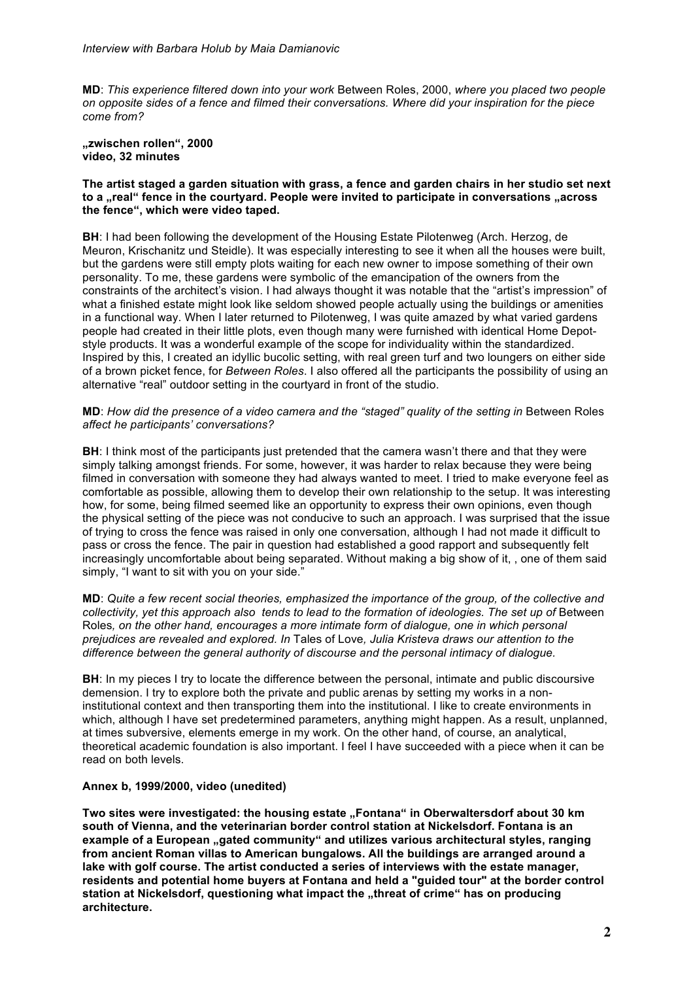**MD**: *This experience filtered down into your work* Between Roles, 2000, *where you placed two people on opposite sides of a fence and filmed their conversations. Where did your inspiration for the piece come from?*

**"zwischen rollen", 2000 video, 32 minutes**

## **The artist staged a garden situation with grass, a fence and garden chairs in her studio set next**  to a **..real**" fence in the courtvard. People were invited to participate in conversations ..across **the fence", which were video taped.**

**BH**: I had been following the development of the Housing Estate Pilotenweg (Arch. Herzog, de Meuron, Krischanitz und Steidle). It was especially interesting to see it when all the houses were built, but the gardens were still empty plots waiting for each new owner to impose something of their own personality. To me, these gardens were symbolic of the emancipation of the owners from the constraints of the architect's vision. I had always thought it was notable that the "artist's impression" of what a finished estate might look like seldom showed people actually using the buildings or amenities in a functional way. When I later returned to Pilotenweg, I was quite amazed by what varied gardens people had created in their little plots, even though many were furnished with identical Home Depotstyle products. It was a wonderful example of the scope for individuality within the standardized. Inspired by this, I created an idyllic bucolic setting, with real green turf and two loungers on either side of a brown picket fence, for *Between Roles*. I also offered all the participants the possibility of using an alternative "real" outdoor setting in the courtyard in front of the studio.

# **MD:** *How did the presence of a video camera and the "staged" quality of the setting in Between Roles affect he participants' conversations?*

**BH**: I think most of the participants just pretended that the camera wasn't there and that they were simply talking amongst friends. For some, however, it was harder to relax because they were being filmed in conversation with someone they had always wanted to meet. I tried to make everyone feel as comfortable as possible, allowing them to develop their own relationship to the setup. It was interesting how, for some, being filmed seemed like an opportunity to express their own opinions, even though the physical setting of the piece was not conducive to such an approach. I was surprised that the issue of trying to cross the fence was raised in only one conversation, although I had not made it difficult to pass or cross the fence. The pair in question had established a good rapport and subsequently felt increasingly uncomfortable about being separated. Without making a big show of it, , one of them said simply, "I want to sit with you on your side."

**MD**: *Quite a few recent social theories, emphasized the importance of the group, of the collective and collectivity, yet this approach also tends to lead to the formation of ideologies. The set up of* Between Roles*, on the other hand, encourages a more intimate form of dialogue, one in which personal prejudices are revealed and explored. In* Tales of Love*, Julia Kristeva draws our attention to the difference between the general authority of discourse and the personal intimacy of dialogue.* 

**BH**: In my pieces I try to locate the difference between the personal, intimate and public discoursive demension. I try to explore both the private and public arenas by setting my works in a noninstitutional context and then transporting them into the institutional. I like to create environments in which, although I have set predetermined parameters, anything might happen. As a result, unplanned, at times subversive, elements emerge in my work. On the other hand, of course, an analytical, theoretical academic foundation is also important. I feel I have succeeded with a piece when it can be read on both levels.

# **Annex b, 1999/2000, video (unedited)**

Two sites were investigated: the housing estate "Fontana" in Oberwaltersdorf about 30 km **south of Vienna, and the veterinarian border control station at Nickelsdorf. Fontana is an example of a European "gated community" and utilizes various architectural styles, ranging from ancient Roman villas to American bungalows. All the buildings are arranged around a lake with golf course. The artist conducted a series of interviews with the estate manager, residents and potential home buyers at Fontana and held a "guided tour" at the border control**  station at Nickelsdorf, questioning what impact the "threat of crime" has on producing **architecture.**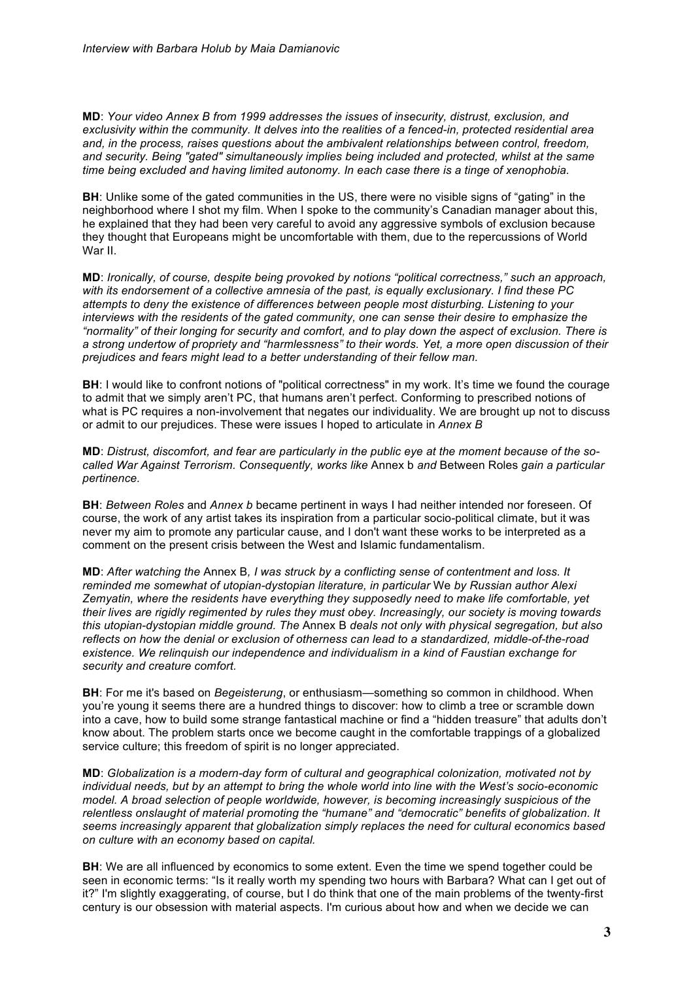**MD**: *Your video Annex B from 1999 addresses the issues of insecurity, distrust, exclusion, and exclusivity within the community. It delves into the realities of a fenced-in, protected residential area and, in the process, raises questions about the ambivalent relationships between control, freedom, and security. Being "gated" simultaneously implies being included and protected, whilst at the same time being excluded and having limited autonomy. In each case there is a tinge of xenophobia.*

**BH:** Unlike some of the gated communities in the US, there were no visible signs of "gating" in the neighborhood where I shot my film. When I spoke to the community's Canadian manager about this, he explained that they had been very careful to avoid any aggressive symbols of exclusion because they thought that Europeans might be uncomfortable with them, due to the repercussions of World War II.

**MD**: *Ironically, of course, despite being provoked by notions "political correctness," such an approach, with its endorsement of a collective amnesia of the past, is equally exclusionary. I find these PC attempts to deny the existence of differences between people most disturbing. Listening to your interviews with the residents of the gated community, one can sense their desire to emphasize the "normality" of their longing for security and comfort, and to play down the aspect of exclusion. There is a strong undertow of propriety and "harmlessness" to their words. Yet, a more open discussion of their prejudices and fears might lead to a better understanding of their fellow man.*

**BH**: I would like to confront notions of "political correctness" in my work. It's time we found the courage to admit that we simply aren't PC, that humans aren't perfect. Conforming to prescribed notions of what is PC requires a non-involvement that negates our individuality. We are brought up not to discuss or admit to our prejudices. These were issues I hoped to articulate in *Annex B*

**MD**: *Distrust, discomfort, and fear are particularly in the public eye at the moment because of the socalled War Against Terrorism. Consequently, works like* Annex b *and* Between Roles *gain a particular pertinence.*

**BH**: *Between Roles* and *Annex b* became pertinent in ways I had neither intended nor foreseen. Of course, the work of any artist takes its inspiration from a particular socio-political climate, but it was never my aim to promote any particular cause, and I don't want these works to be interpreted as a comment on the present crisis between the West and Islamic fundamentalism.

**MD**: *After watching the* Annex B*, I was struck by a conflicting sense of contentment and loss. It reminded me somewhat of utopian-dystopian literature, in particular* We *by Russian author Alexi Zemyatin, where the residents have everything they supposedly need to make life comfortable, yet their lives are rigidly regimented by rules they must obey. Increasingly, our society is moving towards this utopian-dystopian middle ground. The* Annex B *deals not only with physical segregation, but also reflects on how the denial or exclusion of otherness can lead to a standardized, middle-of-the-road existence. We relinquish our independence and individualism in a kind of Faustian exchange for security and creature comfort.*

**BH**: For me it's based on *Begeisterung*, or enthusiasm—something so common in childhood. When you're young it seems there are a hundred things to discover: how to climb a tree or scramble down into a cave, how to build some strange fantastical machine or find a "hidden treasure" that adults don't know about. The problem starts once we become caught in the comfortable trappings of a globalized service culture; this freedom of spirit is no longer appreciated.

**MD**: *Globalization is a modern-day form of cultural and geographical colonization, motivated not by individual needs, but by an attempt to bring the whole world into line with the West's socio-economic model. A broad selection of people worldwide, however, is becoming increasingly suspicious of the relentless onslaught of material promoting the "humane" and "democratic" benefits of globalization. It seems increasingly apparent that globalization simply replaces the need for cultural economics based on culture with an economy based on capital.* 

**BH**: We are all influenced by economics to some extent. Even the time we spend together could be seen in economic terms: "Is it really worth my spending two hours with Barbara? What can I get out of it?" I'm slightly exaggerating, of course, but I do think that one of the main problems of the twenty-first century is our obsession with material aspects. I'm curious about how and when we decide we can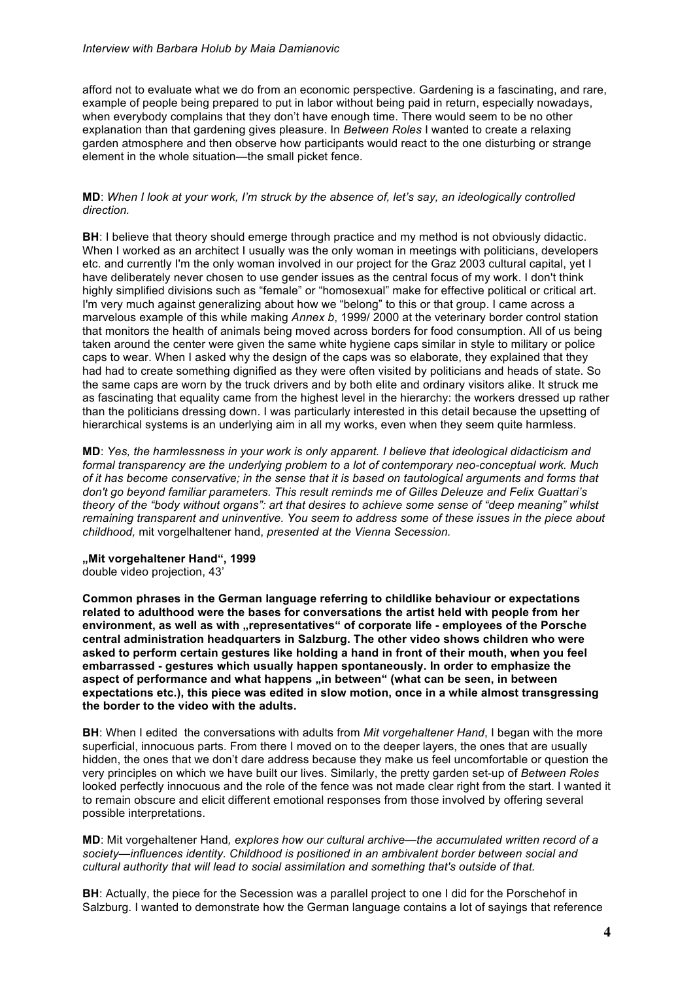afford not to evaluate what we do from an economic perspective. Gardening is a fascinating, and rare, example of people being prepared to put in labor without being paid in return, especially nowadays, when everybody complains that they don't have enough time. There would seem to be no other explanation than that gardening gives pleasure. In *Between Roles* I wanted to create a relaxing garden atmosphere and then observe how participants would react to the one disturbing or strange element in the whole situation—the small picket fence.

#### **MD**: *When I look at your work, I'm struck by the absence of, let's say, an ideologically controlled direction.*

**BH**: I believe that theory should emerge through practice and my method is not obviously didactic. When I worked as an architect I usually was the only woman in meetings with politicians, developers etc. and currently I'm the only woman involved in our project for the Graz 2003 cultural capital, yet I have deliberately never chosen to use gender issues as the central focus of my work. I don't think highly simplified divisions such as "female" or "homosexual" make for effective political or critical art. I'm very much against generalizing about how we "belong" to this or that group. I came across a marvelous example of this while making *Annex b*, 1999/ 2000 at the veterinary border control station that monitors the health of animals being moved across borders for food consumption. All of us being taken around the center were given the same white hygiene caps similar in style to military or police caps to wear. When I asked why the design of the caps was so elaborate, they explained that they had had to create something dignified as they were often visited by politicians and heads of state. So the same caps are worn by the truck drivers and by both elite and ordinary visitors alike. It struck me as fascinating that equality came from the highest level in the hierarchy: the workers dressed up rather than the politicians dressing down. I was particularly interested in this detail because the upsetting of hierarchical systems is an underlying aim in all my works, even when they seem quite harmless.

**MD**: *Yes, the harmlessness in your work is only apparent. I believe that ideological didacticism and formal transparency are the underlying problem to a lot of contemporary neo-conceptual work. Much of it has become conservative; in the sense that it is based on tautological arguments and forms that don't go beyond familiar parameters. This result reminds me of Gilles Deleuze and Felix Guattari's theory of the "body without organs": art that desires to achieve some sense of "deep meaning" whilst remaining transparent and uninventive. You seem to address some of these issues in the piece about childhood,* mit vorgelhaltener hand, *presented at the Vienna Secession.* 

#### **"Mit vorgehaltener Hand", 1999** double video projection, 43'

**Common phrases in the German language referring to childlike behaviour or expectations** 

**related to adulthood were the bases for conversations the artist held with people from her**  environment, as well as with "representatives" of corporate life - employees of the Porsche **central administration headquarters in Salzburg. The other video shows children who were asked to perform certain gestures like holding a hand in front of their mouth, when you feel embarrassed - gestures which usually happen spontaneously. In order to emphasize the**  aspect of performance and what happens "in between" (what can be seen, in between **expectations etc.), this piece was edited in slow motion, once in a while almost transgressing the border to the video with the adults.**

**BH**: When I edited the conversations with adults from *Mit vorgehaltener Hand*, I began with the more superficial, innocuous parts. From there I moved on to the deeper layers, the ones that are usually hidden, the ones that we don't dare address because they make us feel uncomfortable or question the very principles on which we have built our lives. Similarly, the pretty garden set-up of *Between Roles* looked perfectly innocuous and the role of the fence was not made clear right from the start. I wanted it to remain obscure and elicit different emotional responses from those involved by offering several possible interpretations.

**MD**: Mit vorgehaltener Hand*, explores how our cultural archive—the accumulated written record of a society—influences identity. Childhood is positioned in an ambivalent border between social and cultural authority that will lead to social assimilation and something that's outside of that.*

**BH**: Actually, the piece for the Secession was a parallel project to one I did for the Porschehof in Salzburg. I wanted to demonstrate how the German language contains a lot of sayings that reference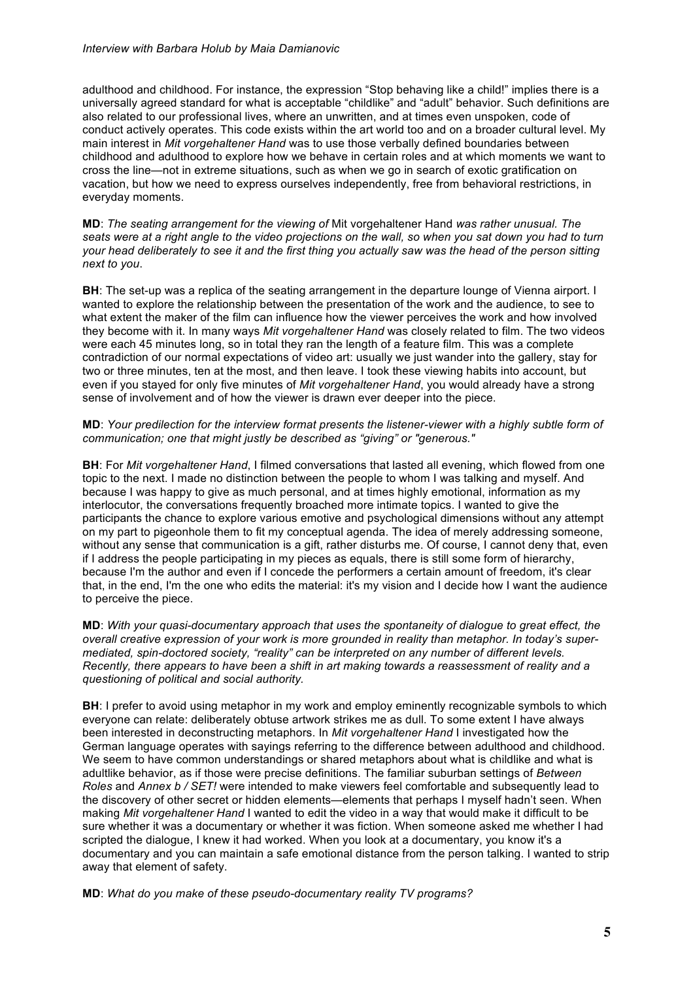adulthood and childhood. For instance, the expression "Stop behaving like a child!" implies there is a universally agreed standard for what is acceptable "childlike" and "adult" behavior. Such definitions are also related to our professional lives, where an unwritten, and at times even unspoken, code of conduct actively operates. This code exists within the art world too and on a broader cultural level. My main interest in *Mit vorgehaltener Hand* was to use those verbally defined boundaries between childhood and adulthood to explore how we behave in certain roles and at which moments we want to cross the line—not in extreme situations, such as when we go in search of exotic gratification on vacation, but how we need to express ourselves independently, free from behavioral restrictions, in everyday moments.

**MD**: *The seating arrangement for the viewing of* Mit vorgehaltener Hand *was rather unusual. The seats were at a right angle to the video projections on the wall, so when you sat down you had to turn your head deliberately to see it and the first thing you actually saw was the head of the person sitting next to you*.

**BH:** The set-up was a replica of the seating arrangement in the departure lounge of Vienna airport. I wanted to explore the relationship between the presentation of the work and the audience, to see to what extent the maker of the film can influence how the viewer perceives the work and how involved they become with it. In many ways *Mit vorgehaltener Hand* was closely related to film. The two videos were each 45 minutes long, so in total they ran the length of a feature film. This was a complete contradiction of our normal expectations of video art: usually we just wander into the gallery, stay for two or three minutes, ten at the most, and then leave. I took these viewing habits into account, but even if you stayed for only five minutes of *Mit vorgehaltener Hand*, you would already have a strong sense of involvement and of how the viewer is drawn ever deeper into the piece.

## **MD**: *Your predilection for the interview format presents the listener-viewer with a highly subtle form of communication; one that might justly be described as "giving" or "generous."*

**BH**: For *Mit vorgehaltener Hand*, I filmed conversations that lasted all evening, which flowed from one topic to the next. I made no distinction between the people to whom I was talking and myself. And because I was happy to give as much personal, and at times highly emotional, information as my interlocutor, the conversations frequently broached more intimate topics. I wanted to give the participants the chance to explore various emotive and psychological dimensions without any attempt on my part to pigeonhole them to fit my conceptual agenda. The idea of merely addressing someone, without any sense that communication is a gift, rather disturbs me. Of course, I cannot deny that, even if I address the people participating in my pieces as equals, there is still some form of hierarchy, because I'm the author and even if I concede the performers a certain amount of freedom, it's clear that, in the end, I'm the one who edits the material: it's my vision and I decide how I want the audience to perceive the piece.

**MD**: *With your quasi-documentary approach that uses the spontaneity of dialogue to great effect, the overall creative expression of your work is more grounded in reality than metaphor. In today's supermediated, spin-doctored society, "reality" can be interpreted on any number of different levels. Recently, there appears to have been a shift in art making towards a reassessment of reality and a questioning of political and social authority.*

**BH:** I prefer to avoid using metaphor in my work and employ eminently recognizable symbols to which everyone can relate: deliberately obtuse artwork strikes me as dull. To some extent I have always been interested in deconstructing metaphors. In *Mit vorgehaltener Hand* I investigated how the German language operates with sayings referring to the difference between adulthood and childhood. We seem to have common understandings or shared metaphors about what is childlike and what is adultlike behavior, as if those were precise definitions. The familiar suburban settings of *Between Roles* and *Annex b / SET!* were intended to make viewers feel comfortable and subsequently lead to the discovery of other secret or hidden elements—elements that perhaps I myself hadn't seen. When making *Mit vorgehaltener Hand* I wanted to edit the video in a way that would make it difficult to be sure whether it was a documentary or whether it was fiction. When someone asked me whether I had scripted the dialogue, I knew it had worked. When you look at a documentary, you know it's a documentary and you can maintain a safe emotional distance from the person talking. I wanted to strip away that element of safety.

**MD**: *What do you make of these pseudo-documentary reality TV programs?*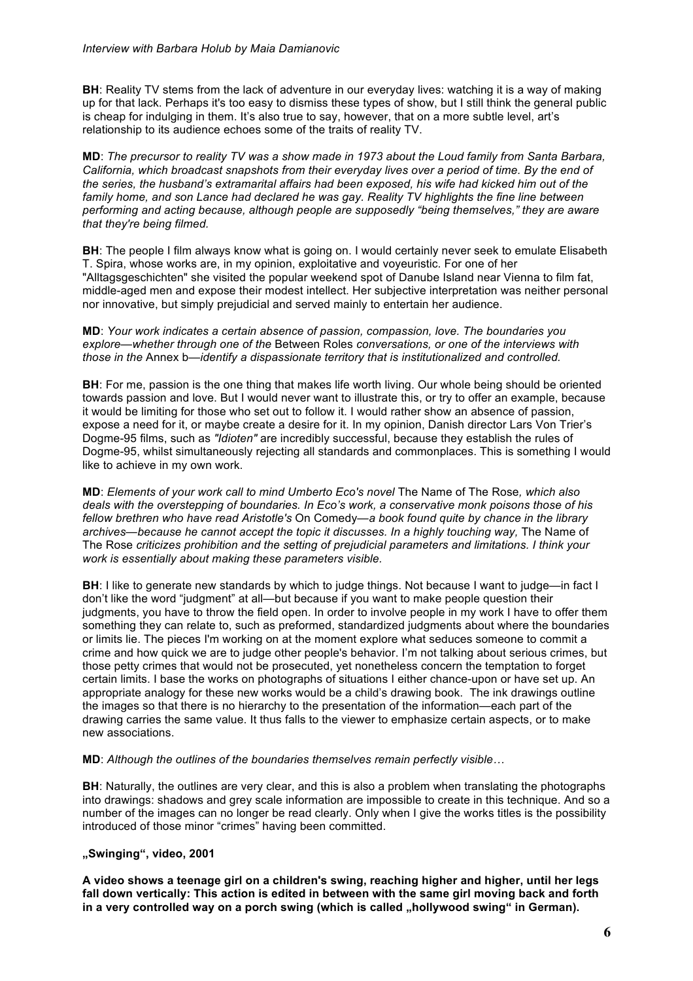**BH**: Reality TV stems from the lack of adventure in our everyday lives: watching it is a way of making up for that lack. Perhaps it's too easy to dismiss these types of show, but I still think the general public is cheap for indulging in them. It's also true to say, however, that on a more subtle level, art's relationship to its audience echoes some of the traits of reality TV.

**MD**: *The precursor to reality TV was a show made in 1973 about the Loud family from Santa Barbara, California, which broadcast snapshots from their everyday lives over a period of time. By the end of the series, the husband's extramarital affairs had been exposed, his wife had kicked him out of the family home, and son Lance had declared he was gay. Reality TV highlights the fine line between performing and acting because, although people are supposedly "being themselves," they are aware that they're being filmed.*

**BH**: The people I film always know what is going on. I would certainly never seek to emulate Elisabeth T. Spira, whose works are, in my opinion, exploitative and voyeuristic. For one of her "Alltagsgeschichten" she visited the popular weekend spot of Danube Island near Vienna to film fat, middle-aged men and expose their modest intellect. Her subjective interpretation was neither personal nor innovative, but simply prejudicial and served mainly to entertain her audience.

**MD**: *Your work indicates a certain absence of passion, compassion, love. The boundaries you explore—whether through one of the* Between Roles *conversations, or one of the interviews with those in the* Annex b*—identify a dispassionate territory that is institutionalized and controlled.*

**BH**: For me, passion is the one thing that makes life worth living. Our whole being should be oriented towards passion and love. But I would never want to illustrate this, or try to offer an example, because it would be limiting for those who set out to follow it. I would rather show an absence of passion, expose a need for it, or maybe create a desire for it. In my opinion, Danish director Lars Von Trier's Dogme-95 films, such as *"Idioten"* are incredibly successful, because they establish the rules of Dogme-95, whilst simultaneously rejecting all standards and commonplaces. This is something I would like to achieve in my own work.

**MD**: *Elements of your work call to mind Umberto Eco's novel* The Name of The Rose*, which also deals with the overstepping of boundaries. In Eco's work, a conservative monk poisons those of his fellow brethren who have read Aristotle's* On Comedy*—a book found quite by chance in the library*  archives—because he cannot accept the topic it discusses. In a highly touching way, The Name of The Rose *criticizes prohibition and the setting of prejudicial parameters and limitations. I think your work is essentially about making these parameters visible.*

**BH**: I like to generate new standards by which to judge things. Not because I want to judge—in fact I don't like the word "judgment" at all—but because if you want to make people question their judgments, you have to throw the field open. In order to involve people in my work I have to offer them something they can relate to, such as preformed, standardized judgments about where the boundaries or limits lie. The pieces I'm working on at the moment explore what seduces someone to commit a crime and how quick we are to judge other people's behavior. I'm not talking about serious crimes, but those petty crimes that would not be prosecuted, yet nonetheless concern the temptation to forget certain limits. I base the works on photographs of situations I either chance-upon or have set up. An appropriate analogy for these new works would be a child's drawing book. The ink drawings outline the images so that there is no hierarchy to the presentation of the information—each part of the drawing carries the same value. It thus falls to the viewer to emphasize certain aspects, or to make new associations.

**MD**: *Although the outlines of the boundaries themselves remain perfectly visible…*

**BH**: Naturally, the outlines are very clear, and this is also a problem when translating the photographs into drawings: shadows and grey scale information are impossible to create in this technique. And so a number of the images can no longer be read clearly. Only when I give the works titles is the possibility introduced of those minor "crimes" having been committed.

## **"Swinging", video, 2001**

**A video shows a teenage girl on a children's swing, reaching higher and higher, until her legs fall down vertically: This action is edited in between with the same girl moving back and forth**  in a very controlled way on a porch swing (which is called "hollywood swing" in German).